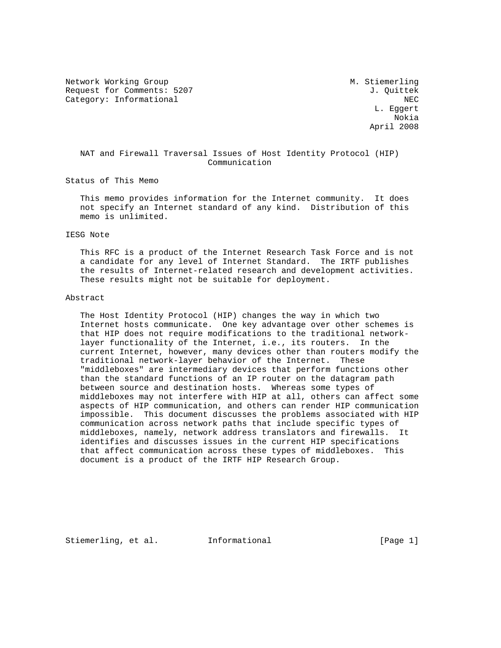Network Working Group Metwork M. Stiemerling Request for Comments: 5207 J. Quittek Category: Informational NEC

 L. Eggert Nokia April 2008

 NAT and Firewall Traversal Issues of Host Identity Protocol (HIP) Communication

Status of This Memo

 This memo provides information for the Internet community. It does not specify an Internet standard of any kind. Distribution of this memo is unlimited.

### IESG Note

 This RFC is a product of the Internet Research Task Force and is not a candidate for any level of Internet Standard. The IRTF publishes the results of Internet-related research and development activities. These results might not be suitable for deployment.

#### Abstract

 The Host Identity Protocol (HIP) changes the way in which two Internet hosts communicate. One key advantage over other schemes is that HIP does not require modifications to the traditional network layer functionality of the Internet, i.e., its routers. In the current Internet, however, many devices other than routers modify the traditional network-layer behavior of the Internet. These "middleboxes" are intermediary devices that perform functions other than the standard functions of an IP router on the datagram path between source and destination hosts. Whereas some types of middleboxes may not interfere with HIP at all, others can affect some aspects of HIP communication, and others can render HIP communication impossible. This document discusses the problems associated with HIP communication across network paths that include specific types of middleboxes, namely, network address translators and firewalls. It identifies and discusses issues in the current HIP specifications that affect communication across these types of middleboxes. This document is a product of the IRTF HIP Research Group.

Stiemerling, et al. Informational [Page 1]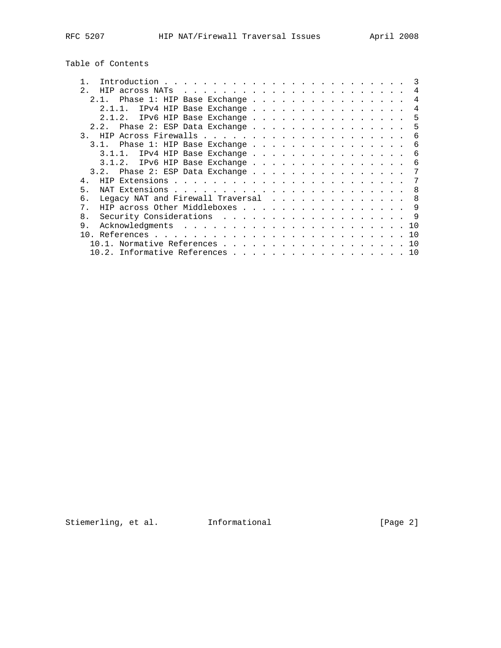Table of Contents

|               |  |  |  |  |  |  |  |  | $\mathcal{R}$                                                                                                                                                                                                                                                                                                                        |
|---------------|--|--|--|--|--|--|--|--|--------------------------------------------------------------------------------------------------------------------------------------------------------------------------------------------------------------------------------------------------------------------------------------------------------------------------------------|
| 2.            |  |  |  |  |  |  |  |  | $\overline{4}$                                                                                                                                                                                                                                                                                                                       |
| 2 1           |  |  |  |  |  |  |  |  | 4                                                                                                                                                                                                                                                                                                                                    |
| 2 1 1         |  |  |  |  |  |  |  |  | 4                                                                                                                                                                                                                                                                                                                                    |
| 2.1.2.        |  |  |  |  |  |  |  |  | .5                                                                                                                                                                                                                                                                                                                                   |
| 2.2.          |  |  |  |  |  |  |  |  | 5                                                                                                                                                                                                                                                                                                                                    |
| $\mathcal{R}$ |  |  |  |  |  |  |  |  | 6                                                                                                                                                                                                                                                                                                                                    |
| 31            |  |  |  |  |  |  |  |  | 6                                                                                                                                                                                                                                                                                                                                    |
| $3.1.1$ .     |  |  |  |  |  |  |  |  | 6                                                                                                                                                                                                                                                                                                                                    |
| 3.1.2.        |  |  |  |  |  |  |  |  | 6                                                                                                                                                                                                                                                                                                                                    |
| 3.2.          |  |  |  |  |  |  |  |  | 7                                                                                                                                                                                                                                                                                                                                    |
| 4.            |  |  |  |  |  |  |  |  |                                                                                                                                                                                                                                                                                                                                      |
| 5.            |  |  |  |  |  |  |  |  | -8                                                                                                                                                                                                                                                                                                                                   |
| б.            |  |  |  |  |  |  |  |  | 8                                                                                                                                                                                                                                                                                                                                    |
| 7             |  |  |  |  |  |  |  |  | 9                                                                                                                                                                                                                                                                                                                                    |
| 8.            |  |  |  |  |  |  |  |  | -9                                                                                                                                                                                                                                                                                                                                   |
| 9.            |  |  |  |  |  |  |  |  | 10                                                                                                                                                                                                                                                                                                                                   |
|               |  |  |  |  |  |  |  |  | 10                                                                                                                                                                                                                                                                                                                                   |
|               |  |  |  |  |  |  |  |  | 10                                                                                                                                                                                                                                                                                                                                   |
|               |  |  |  |  |  |  |  |  |                                                                                                                                                                                                                                                                                                                                      |
|               |  |  |  |  |  |  |  |  | Phase 1: HIP Base Exchange<br>IPv4 HIP Base Exchange<br>IPv6 HIP Base Exchange<br>Phase 2: ESP Data Exchange<br>Phase 1: HIP Base Exchange<br>IPv4 HIP Base Exchange<br>IPv6 HIP Base Exchange<br>Phase 2: ESP Data Exchange<br>Legacy NAT and Firewall Traversal<br>HIP across Other Middleboxes<br>10.2. Informative References 10 |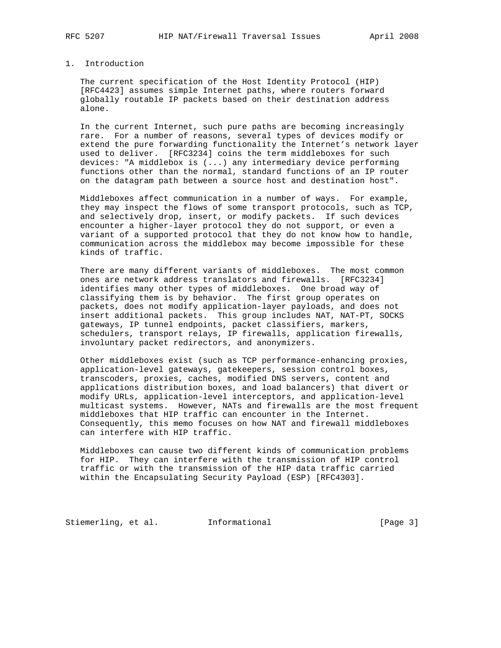## 1. Introduction

 The current specification of the Host Identity Protocol (HIP) [RFC4423] assumes simple Internet paths, where routers forward globally routable IP packets based on their destination address alone.

 In the current Internet, such pure paths are becoming increasingly rare. For a number of reasons, several types of devices modify or extend the pure forwarding functionality the Internet's network layer used to deliver. [RFC3234] coins the term middleboxes for such devices: "A middlebox is (...) any intermediary device performing functions other than the normal, standard functions of an IP router on the datagram path between a source host and destination host".

 Middleboxes affect communication in a number of ways. For example, they may inspect the flows of some transport protocols, such as TCP, and selectively drop, insert, or modify packets. If such devices encounter a higher-layer protocol they do not support, or even a variant of a supported protocol that they do not know how to handle, communication across the middlebox may become impossible for these kinds of traffic.

 There are many different variants of middleboxes. The most common ones are network address translators and firewalls. [RFC3234] identifies many other types of middleboxes. One broad way of classifying them is by behavior. The first group operates on packets, does not modify application-layer payloads, and does not insert additional packets. This group includes NAT, NAT-PT, SOCKS gateways, IP tunnel endpoints, packet classifiers, markers, schedulers, transport relays, IP firewalls, application firewalls, involuntary packet redirectors, and anonymizers.

 Other middleboxes exist (such as TCP performance-enhancing proxies, application-level gateways, gatekeepers, session control boxes, transcoders, proxies, caches, modified DNS servers, content and applications distribution boxes, and load balancers) that divert or modify URLs, application-level interceptors, and application-level multicast systems. However, NATs and firewalls are the most frequent middleboxes that HIP traffic can encounter in the Internet. Consequently, this memo focuses on how NAT and firewall middleboxes can interfere with HIP traffic.

 Middleboxes can cause two different kinds of communication problems for HIP. They can interfere with the transmission of HIP control traffic or with the transmission of the HIP data traffic carried within the Encapsulating Security Payload (ESP) [RFC4303].

Stiemerling, et al. Informational [Page 3]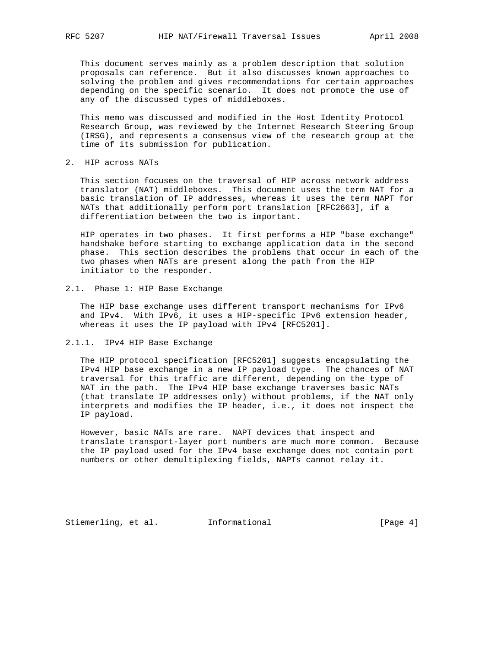This document serves mainly as a problem description that solution proposals can reference. But it also discusses known approaches to solving the problem and gives recommendations for certain approaches depending on the specific scenario. It does not promote the use of any of the discussed types of middleboxes.

 This memo was discussed and modified in the Host Identity Protocol Research Group, was reviewed by the Internet Research Steering Group (IRSG), and represents a consensus view of the research group at the time of its submission for publication.

2. HIP across NATs

 This section focuses on the traversal of HIP across network address translator (NAT) middleboxes. This document uses the term NAT for a basic translation of IP addresses, whereas it uses the term NAPT for NATs that additionally perform port translation [RFC2663], if a differentiation between the two is important.

 HIP operates in two phases. It first performs a HIP "base exchange" handshake before starting to exchange application data in the second phase. This section describes the problems that occur in each of the two phases when NATs are present along the path from the HIP initiator to the responder.

2.1. Phase 1: HIP Base Exchange

 The HIP base exchange uses different transport mechanisms for IPv6 and IPv4. With IPv6, it uses a HIP-specific IPv6 extension header, whereas it uses the IP payload with IPv4 [RFC5201].

2.1.1. IPv4 HIP Base Exchange

 The HIP protocol specification [RFC5201] suggests encapsulating the IPv4 HIP base exchange in a new IP payload type. The chances of NAT traversal for this traffic are different, depending on the type of NAT in the path. The IPv4 HIP base exchange traverses basic NATs (that translate IP addresses only) without problems, if the NAT only interprets and modifies the IP header, i.e., it does not inspect the IP payload.

 However, basic NATs are rare. NAPT devices that inspect and translate transport-layer port numbers are much more common. Because the IP payload used for the IPv4 base exchange does not contain port numbers or other demultiplexing fields, NAPTs cannot relay it.

Stiemerling, et al. Informational [Page 4]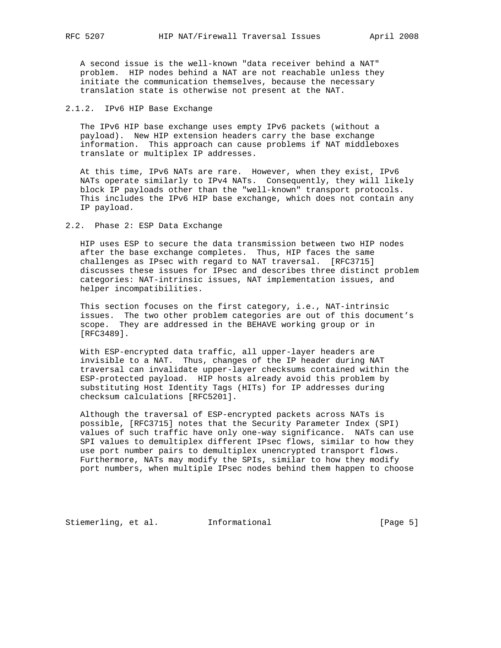A second issue is the well-known "data receiver behind a NAT" problem. HIP nodes behind a NAT are not reachable unless they initiate the communication themselves, because the necessary translation state is otherwise not present at the NAT.

## 2.1.2. IPv6 HIP Base Exchange

 The IPv6 HIP base exchange uses empty IPv6 packets (without a payload). New HIP extension headers carry the base exchange information. This approach can cause problems if NAT middleboxes translate or multiplex IP addresses.

 At this time, IPv6 NATs are rare. However, when they exist, IPv6 NATs operate similarly to IPv4 NATs. Consequently, they will likely block IP payloads other than the "well-known" transport protocols. This includes the IPv6 HIP base exchange, which does not contain any IP payload.

## 2.2. Phase 2: ESP Data Exchange

 HIP uses ESP to secure the data transmission between two HIP nodes after the base exchange completes. Thus, HIP faces the same challenges as IPsec with regard to NAT traversal. [RFC3715] discusses these issues for IPsec and describes three distinct problem categories: NAT-intrinsic issues, NAT implementation issues, and helper incompatibilities.

 This section focuses on the first category, i.e., NAT-intrinsic issues. The two other problem categories are out of this document's scope. They are addressed in the BEHAVE working group or in [RFC3489].

 With ESP-encrypted data traffic, all upper-layer headers are invisible to a NAT. Thus, changes of the IP header during NAT traversal can invalidate upper-layer checksums contained within the ESP-protected payload. HIP hosts already avoid this problem by substituting Host Identity Tags (HITs) for IP addresses during checksum calculations [RFC5201].

 Although the traversal of ESP-encrypted packets across NATs is possible, [RFC3715] notes that the Security Parameter Index (SPI) values of such traffic have only one-way significance. NATs can use SPI values to demultiplex different IPsec flows, similar to how they use port number pairs to demultiplex unencrypted transport flows. Furthermore, NATs may modify the SPIs, similar to how they modify port numbers, when multiple IPsec nodes behind them happen to choose

Stiemerling, et al. Informational [Page 5]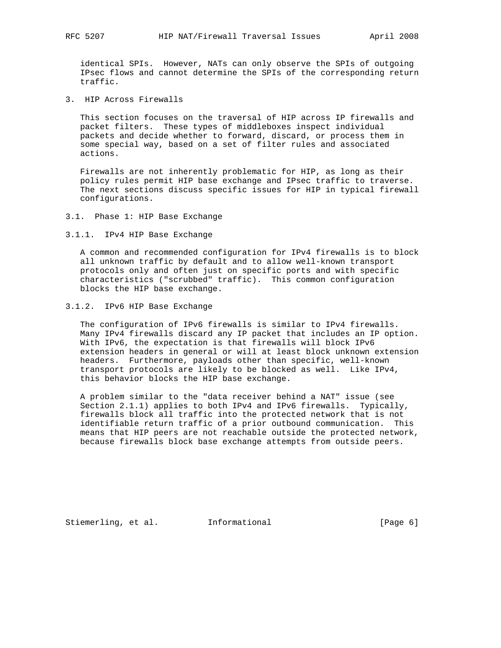identical SPIs. However, NATs can only observe the SPIs of outgoing IPsec flows and cannot determine the SPIs of the corresponding return traffic.

3. HIP Across Firewalls

 This section focuses on the traversal of HIP across IP firewalls and packet filters. These types of middleboxes inspect individual packets and decide whether to forward, discard, or process them in some special way, based on a set of filter rules and associated actions.

 Firewalls are not inherently problematic for HIP, as long as their policy rules permit HIP base exchange and IPsec traffic to traverse. The next sections discuss specific issues for HIP in typical firewall configurations.

- 3.1. Phase 1: HIP Base Exchange
- 3.1.1. IPv4 HIP Base Exchange

 A common and recommended configuration for IPv4 firewalls is to block all unknown traffic by default and to allow well-known transport protocols only and often just on specific ports and with specific characteristics ("scrubbed" traffic). This common configuration blocks the HIP base exchange.

3.1.2. IPv6 HIP Base Exchange

 The configuration of IPv6 firewalls is similar to IPv4 firewalls. Many IPv4 firewalls discard any IP packet that includes an IP option. With IPv6, the expectation is that firewalls will block IPv6 extension headers in general or will at least block unknown extension headers. Furthermore, payloads other than specific, well-known transport protocols are likely to be blocked as well. Like IPv4, this behavior blocks the HIP base exchange.

 A problem similar to the "data receiver behind a NAT" issue (see Section 2.1.1) applies to both IPv4 and IPv6 firewalls. Typically, firewalls block all traffic into the protected network that is not identifiable return traffic of a prior outbound communication. This means that HIP peers are not reachable outside the protected network, because firewalls block base exchange attempts from outside peers.

Stiemerling, et al. Informational [Page 6]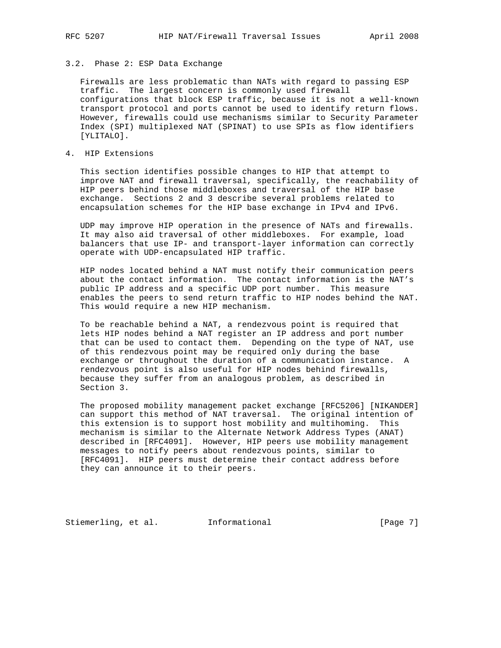# 3.2. Phase 2: ESP Data Exchange

 Firewalls are less problematic than NATs with regard to passing ESP traffic. The largest concern is commonly used firewall configurations that block ESP traffic, because it is not a well-known transport protocol and ports cannot be used to identify return flows. However, firewalls could use mechanisms similar to Security Parameter Index (SPI) multiplexed NAT (SPINAT) to use SPIs as flow identifiers [YLITALO].

# 4. HIP Extensions

 This section identifies possible changes to HIP that attempt to improve NAT and firewall traversal, specifically, the reachability of HIP peers behind those middleboxes and traversal of the HIP base exchange. Sections 2 and 3 describe several problems related to encapsulation schemes for the HIP base exchange in IPv4 and IPv6.

 UDP may improve HIP operation in the presence of NATs and firewalls. It may also aid traversal of other middleboxes. For example, load balancers that use IP- and transport-layer information can correctly operate with UDP-encapsulated HIP traffic.

 HIP nodes located behind a NAT must notify their communication peers about the contact information. The contact information is the NAT's public IP address and a specific UDP port number. This measure enables the peers to send return traffic to HIP nodes behind the NAT. This would require a new HIP mechanism.

 To be reachable behind a NAT, a rendezvous point is required that lets HIP nodes behind a NAT register an IP address and port number that can be used to contact them. Depending on the type of NAT, use of this rendezvous point may be required only during the base exchange or throughout the duration of a communication instance. A rendezvous point is also useful for HIP nodes behind firewalls, because they suffer from an analogous problem, as described in Section 3.

 The proposed mobility management packet exchange [RFC5206] [NIKANDER] can support this method of NAT traversal. The original intention of this extension is to support host mobility and multihoming. This mechanism is similar to the Alternate Network Address Types (ANAT) described in [RFC4091]. However, HIP peers use mobility management messages to notify peers about rendezvous points, similar to [RFC4091]. HIP peers must determine their contact address before they can announce it to their peers.

Stiemerling, et al. Informational [Page 7]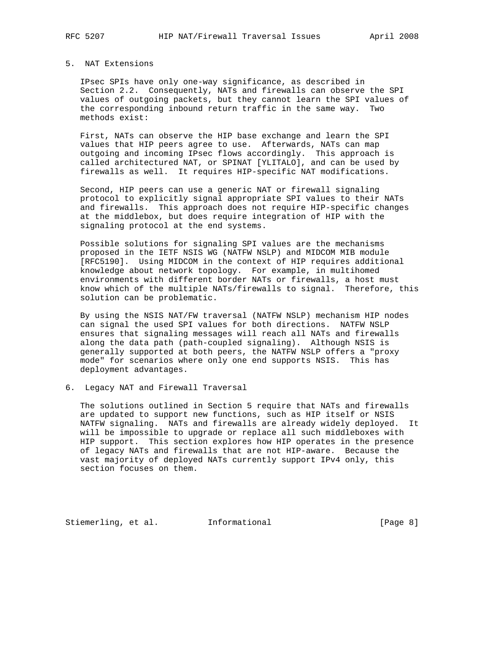## 5. NAT Extensions

 IPsec SPIs have only one-way significance, as described in Section 2.2. Consequently, NATs and firewalls can observe the SPI values of outgoing packets, but they cannot learn the SPI values of the corresponding inbound return traffic in the same way. Two methods exist:

 First, NATs can observe the HIP base exchange and learn the SPI values that HIP peers agree to use. Afterwards, NATs can map outgoing and incoming IPsec flows accordingly. This approach is called architectured NAT, or SPINAT [YLITALO], and can be used by firewalls as well. It requires HIP-specific NAT modifications.

 Second, HIP peers can use a generic NAT or firewall signaling protocol to explicitly signal appropriate SPI values to their NATs and firewalls. This approach does not require HIP-specific changes at the middlebox, but does require integration of HIP with the signaling protocol at the end systems.

 Possible solutions for signaling SPI values are the mechanisms proposed in the IETF NSIS WG (NATFW NSLP) and MIDCOM MIB module [RFC5190]. Using MIDCOM in the context of HIP requires additional knowledge about network topology. For example, in multihomed environments with different border NATs or firewalls, a host must know which of the multiple NATs/firewalls to signal. Therefore, this solution can be problematic.

 By using the NSIS NAT/FW traversal (NATFW NSLP) mechanism HIP nodes can signal the used SPI values for both directions. NATFW NSLP ensures that signaling messages will reach all NATs and firewalls along the data path (path-coupled signaling). Although NSIS is generally supported at both peers, the NATFW NSLP offers a "proxy mode" for scenarios where only one end supports NSIS. This has deployment advantages.

### 6. Legacy NAT and Firewall Traversal

 The solutions outlined in Section 5 require that NATs and firewalls are updated to support new functions, such as HIP itself or NSIS NATFW signaling. NATs and firewalls are already widely deployed. It will be impossible to upgrade or replace all such middleboxes with HIP support. This section explores how HIP operates in the presence of legacy NATs and firewalls that are not HIP-aware. Because the vast majority of deployed NATs currently support IPv4 only, this section focuses on them.

Stiemerling, et al. 1nformational [Page 8]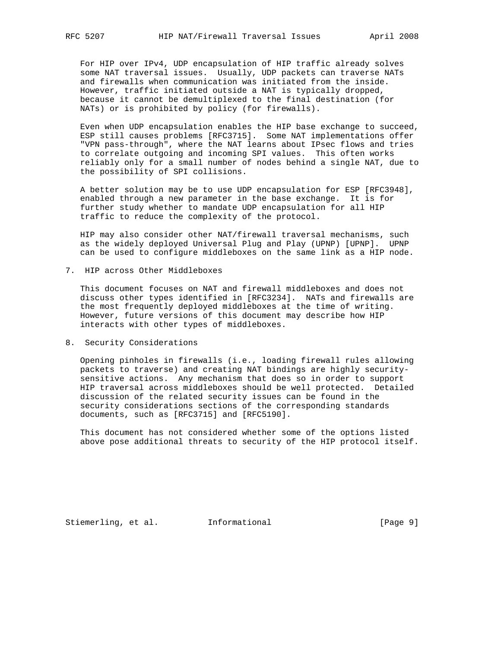For HIP over IPv4, UDP encapsulation of HIP traffic already solves some NAT traversal issues. Usually, UDP packets can traverse NATs and firewalls when communication was initiated from the inside. However, traffic initiated outside a NAT is typically dropped, because it cannot be demultiplexed to the final destination (for NATs) or is prohibited by policy (for firewalls).

 Even when UDP encapsulation enables the HIP base exchange to succeed, ESP still causes problems [RFC3715]. Some NAT implementations offer "VPN pass-through", where the NAT learns about IPsec flows and tries to correlate outgoing and incoming SPI values. This often works reliably only for a small number of nodes behind a single NAT, due to the possibility of SPI collisions.

 A better solution may be to use UDP encapsulation for ESP [RFC3948], enabled through a new parameter in the base exchange. It is for further study whether to mandate UDP encapsulation for all HIP traffic to reduce the complexity of the protocol.

 HIP may also consider other NAT/firewall traversal mechanisms, such as the widely deployed Universal Plug and Play (UPNP) [UPNP]. UPNP can be used to configure middleboxes on the same link as a HIP node.

7. HIP across Other Middleboxes

 This document focuses on NAT and firewall middleboxes and does not discuss other types identified in [RFC3234]. NATs and firewalls are the most frequently deployed middleboxes at the time of writing. However, future versions of this document may describe how HIP interacts with other types of middleboxes.

8. Security Considerations

 Opening pinholes in firewalls (i.e., loading firewall rules allowing packets to traverse) and creating NAT bindings are highly security sensitive actions. Any mechanism that does so in order to support HIP traversal across middleboxes should be well protected. Detailed discussion of the related security issues can be found in the security considerations sections of the corresponding standards documents, such as [RFC3715] and [RFC5190].

 This document has not considered whether some of the options listed above pose additional threats to security of the HIP protocol itself.

Stiemerling, et al. Informational [Page 9]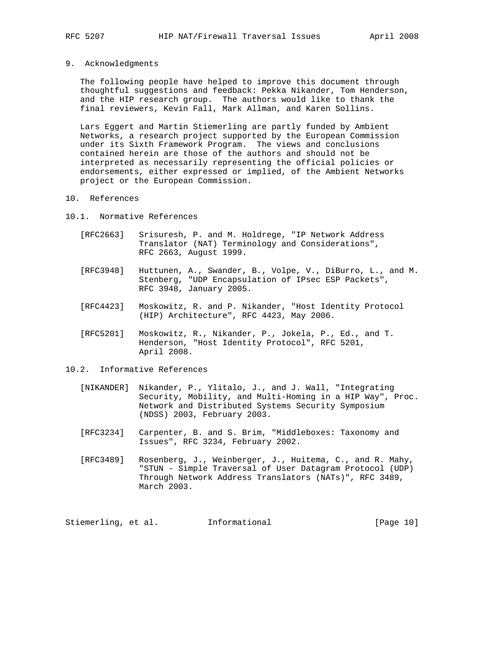9. Acknowledgments

 The following people have helped to improve this document through thoughtful suggestions and feedback: Pekka Nikander, Tom Henderson, and the HIP research group. The authors would like to thank the final reviewers, Kevin Fall, Mark Allman, and Karen Sollins.

 Lars Eggert and Martin Stiemerling are partly funded by Ambient Networks, a research project supported by the European Commission under its Sixth Framework Program. The views and conclusions contained herein are those of the authors and should not be interpreted as necessarily representing the official policies or endorsements, either expressed or implied, of the Ambient Networks project or the European Commission.

- 10. References
- 10.1. Normative References
	- [RFC2663] Srisuresh, P. and M. Holdrege, "IP Network Address Translator (NAT) Terminology and Considerations", RFC 2663, August 1999.
	- [RFC3948] Huttunen, A., Swander, B., Volpe, V., DiBurro, L., and M. Stenberg, "UDP Encapsulation of IPsec ESP Packets", RFC 3948, January 2005.
	- [RFC4423] Moskowitz, R. and P. Nikander, "Host Identity Protocol (HIP) Architecture", RFC 4423, May 2006.
	- [RFC5201] Moskowitz, R., Nikander, P., Jokela, P., Ed., and T. Henderson, "Host Identity Protocol", RFC 5201, April 2008.
- 10.2. Informative References
	- [NIKANDER] Nikander, P., Ylitalo, J., and J. Wall, "Integrating Security, Mobility, and Multi-Homing in a HIP Way", Proc. Network and Distributed Systems Security Symposium (NDSS) 2003, February 2003.
	- [RFC3234] Carpenter, B. and S. Brim, "Middleboxes: Taxonomy and Issues", RFC 3234, February 2002.
	- [RFC3489] Rosenberg, J., Weinberger, J., Huitema, C., and R. Mahy, "STUN - Simple Traversal of User Datagram Protocol (UDP) Through Network Address Translators (NATs)", RFC 3489, March 2003.

Stiemerling, et al. 1nformational [Page 10]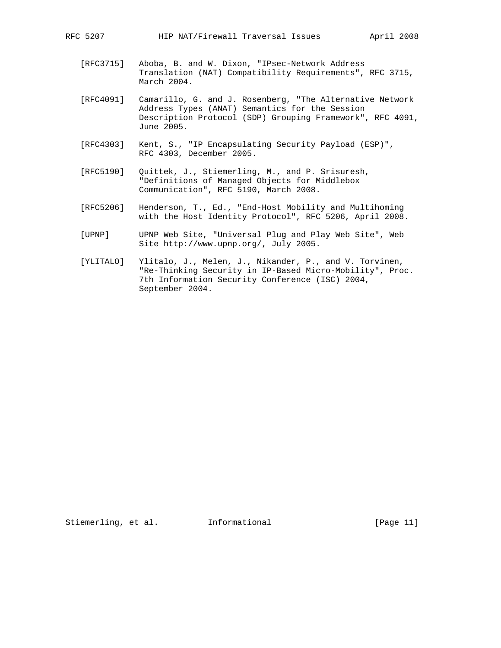- [RFC3715] Aboba, B. and W. Dixon, "IPsec-Network Address Translation (NAT) Compatibility Requirements", RFC 3715, March 2004.
- [RFC4091] Camarillo, G. and J. Rosenberg, "The Alternative Network Address Types (ANAT) Semantics for the Session Description Protocol (SDP) Grouping Framework", RFC 4091, June 2005.
- [RFC4303] Kent, S., "IP Encapsulating Security Payload (ESP)", RFC 4303, December 2005.
- [RFC5190] Quittek, J., Stiemerling, M., and P. Srisuresh, "Definitions of Managed Objects for Middlebox Communication", RFC 5190, March 2008.
- [RFC5206] Henderson, T., Ed., "End-Host Mobility and Multihoming with the Host Identity Protocol", RFC 5206, April 2008.
- [UPNP] UPNP Web Site, "Universal Plug and Play Web Site", Web Site http://www.upnp.org/, July 2005.
- [YLITALO] Ylitalo, J., Melen, J., Nikander, P., and V. Torvinen, "Re-Thinking Security in IP-Based Micro-Mobility", Proc. 7th Information Security Conference (ISC) 2004, September 2004.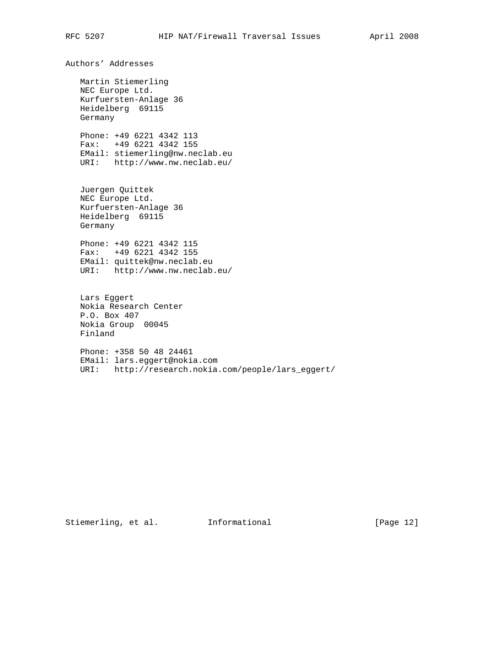Authors' Addresses

 Martin Stiemerling NEC Europe Ltd. Kurfuersten-Anlage 36 Heidelberg 69115 Germany

 Phone: +49 6221 4342 113 Fax: +49 6221 4342 155 EMail: stiemerling@nw.neclab.eu URI: http://www.nw.neclab.eu/

 Juergen Quittek NEC Europe Ltd. Kurfuersten-Anlage 36 Heidelberg 69115 Germany

 Phone: +49 6221 4342 115 Fax: +49 6221 4342 155 EMail: quittek@nw.neclab.eu URI: http://www.nw.neclab.eu/

 Lars Eggert Nokia Research Center P.O. Box 407 Nokia Group 00045 Finland

 Phone: +358 50 48 24461 EMail: lars.eggert@nokia.com URI: http://research.nokia.com/people/lars\_eggert/